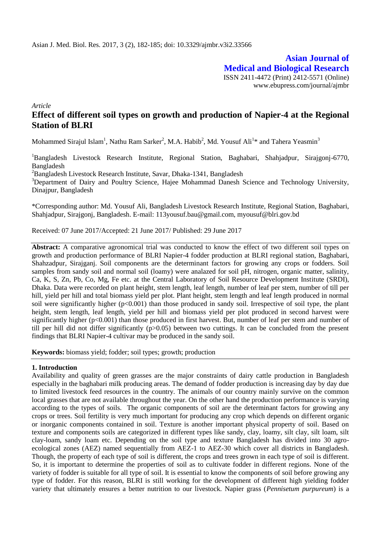**Asian Journal of Medical and Biological Research** ISSN 2411-4472 (Print) 2412-5571 (Online) www.ebupress.com/journal/ajmbr

*Article*

# **Effect of different soil types on growth and production of Napier-4 at the Regional Station of BLRI**

Mohammed Sirajul Islam<sup>1</sup>, Nathu Ram Sarker<sup>2</sup>, M.A. Habib<sup>2</sup>, Md. Yousuf Ali<sup>1</sup>\* and Tahera Yeasmin<sup>3</sup>

<sup>1</sup>Bangladesh Livestock Research Institute, Regional Station, Baghabari, Shahjadpur, Sirajgonj-6770, Bangladesh

<sup>2</sup>Bangladesh Livestock Research Institute, Savar, Dhaka-1341, Bangladesh

<sup>3</sup>Department of Dairy and Poultry Science, Hajee Mohammad Danesh Science and Technology University, Dinajpur, Bangladesh

\*Corresponding author: Md. Yousuf Ali, Bangladesh Livestock Research Institute, Regional Station, Baghabari, Shahjadpur, Sirajgonj, Bangladesh. E-mail: 113yousuf.bau@gmail.com, myousuf@blri.gov.bd

Received: 07 June 2017/Accepted: 21 June 2017/ Published: 29 June 2017

**Abstract:** A comparative agronomical trial was conducted to know the effect of two different soil types on growth and production performance of BLRI Napier-4 fodder production at BLRI regional station, Baghabari, Shahzadpur, Sirajganj. Soil components are the determinant factors for growing any crops or fodders. Soil samples from sandy soil and normal soil (loamy) were analazed for soil pH, nitrogen, organic matter, salinity, Ca, K, S, Zn, Pb, Co, Mg, Fe etc. at the Central Laboratory of Soil Resource Development Institute (SRDI), Dhaka. Data were recorded on plant height, stem length, leaf length, number of leaf per stem, number of till per hill, yield per hill and total biomass yield per plot. Plant height, stem length and leaf length produced in normal soil were significantly higher (p<0.001) than those produced in sandy soil. Irrespective of soil type, the plant height, stem length, leaf length, yield per hill and biomass yield per plot produced in second harvest were significantly higher (p<0.001) than those produced in first harvest. But, number of leaf per stem and number of till per hill did not differ significantly  $(p>0.05)$  between two cuttings. It can be concluded from the present findings that BLRI Napier-4 cultivar may be produced in the sandy soil.

**Keywords:** biomass yield; fodder; soil types; growth; production

### **1. Introduction**

Availability and quality of green grasses are the major constraints of dairy cattle production in Bangladesh especially in the baghabari milk producing areas. The demand of fodder production is increasing day by day due to limited livestock feed resources in the country. The animals of our country mainly survive on the common local grasses that are not available throughout the year. On the other hand the production performance is varying according to the types of soils. The organic components of soil are the determinant factors for growing any crops or trees. Soil fertility is very much important for producing any crop which depends on different organic or inorganic components contained in soil. Texture is another important physical property of soil. Based on texture and components soils are categorized in different types like sandy, clay, loamy, silt clay, silt loam, silt clay-loam, sandy loam etc. Depending on the soil type and texture Bangladesh has divided into 30 agroecological zones (AEZ) named sequentially from AEZ-1 to AEZ-30 which cover all districts in Bangladesh. Though, the property of each type of soil is different, the crops and trees grown in each type of soil is different. So, it is important to determine the properties of soil as to cultivate fodder in different regions. None of the variety of fodder is suitable for all type of soil. It is essential to know the components of soil before growing any type of fodder. For this reason, BLRI is still working for the development of different high yielding fodder variety that ultimately ensures a better nutrition to our livestock. Napier grass (*Pennisetum purpureum*) is a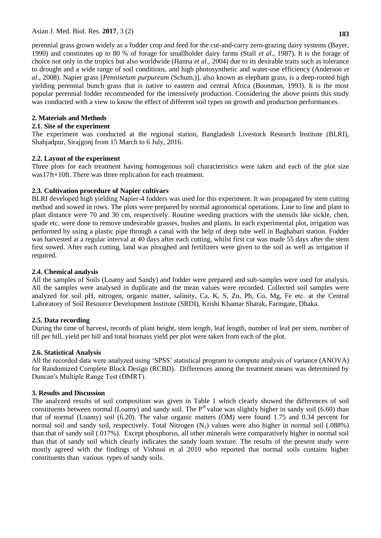perennial grass grown widely as a fodder crop and feed for the cut-and-carry zero-grazing dairy systems (Bayer, 1990) and constitutes up to 80 % of forage for smallholder dairy farms (Stall *et al*., 1987). It is the forage of choice not only in the tropics but also worldwide (Hanna *et al*., 2004) due to its desirable traits such as tolerance to drought and a wide range of soil conditions, and high photosynthetic and water-use efficiency (Anderson *et al*., 2008). Napier grass [*Pennisetum purpureum* (Schum.)], also known as elephant grass, is a deep-rooted high yielding perennial bunch grass that is native to eastern and central Africa (Boonman, 1993). It is the most popular perennial fodder recommended for the intensively production. Considering the above points this study was conducted with a view to know the effect of different soil types on growth and production performances.

## **2. Materials and Methods**

## **2.1. Site of the experiment**

The experiment was conducted at the regional station, Bangladesh Livestock Research Institute (BLRI), Shahjadpur, Sirajgonj from 15 March to 6 July, 2016.

## **2.2. Layout of the experiment**

Three plots for each treatment having homogenous soil characteristics were taken and each of the plot size was17ft×10ft. There was three replication for each treatment.

# **2.3. Cultivation procedure of Napier cultivars**

BLRI developed high yielding Napier-4 fodders was used for this experiment. It was propagated by stem cutting method and sowed in rows. The plots were prepared by normal agronomical operations. Line to line and plant to plant distance were 70 and 30 cm, respectively. Routine weeding practices with the utensils like sickle, chen, spade etc. were done to remove undesirable grasses, bushes and plants. In each experimental plot, irrigation was performed by using a plastic pipe through a canal with the help of deep tube well in Baghabari station. Fodder was harvested at a regular interval at 40 days after each cutting, whilst first cut was made 55 days after the stem first sowed. After each cutting, land was ploughed and fertilizers were given to the soil as well as irrigation if required.

### **2.4. Chemical analysis**

All the samples of Soils (Loamy and Sandy) and fodder were prepared and sub-samples were used for analysis. All the samples were analysed in duplicate and the mean values were recorded. Collected soil samples were analyzed for soil pH, nitrogen, organic matter, salinity, Ca, K, S, Zn, Pb, Co, Mg, Fe etc. at the Central Laboratory of Soil Resource Development Institute (SRDI), Krishi Khamar Sharak, Farmgate, Dhaka.

# **2.5. Data recording**

During the time of harvest, records of plant height, stem length, leaf length, number of leaf per stem, number of till per hill, yield per hill and total biomass yield per plot were taken from each of the plot.

# **2.6. Statistical Analysis**

All the recorded data were analyzed using 'SPSS' statistical program to compute analysis of variance (ANOVA) for Randomized Complete Block Design (RCBD). Differences among the treatment means was determined by Duncan′s Multiple Range Test (DMRT).

# **3. Results and Discussion**

The analyzed results of soil composition was given in Table 1 which clearly showed the differences of soil constituents between normal (Loamy) and sandy soil. The  $P<sup>H</sup>$  value was slightly higher in sandy soil (6.60) than that of normal (Loamy) soil (6.20). The value organic matters (OM) were found 1.75 and 0.34 percent for normal soil and sandy soil, respectively. Total Nitrogen  $(N_2)$  values were also higher in normal soil (.088%) than that of sandy soil (.017%). Except phosphorus, all other minerals were comparatively higher in normal soil than that of sandy soil which clearly indicates the sandy loam texture. The results of the present study were mostly agreed with the findings of Vishnoi et al 2010 who reported that normal soils contains higher constituents than various types of sandy soils.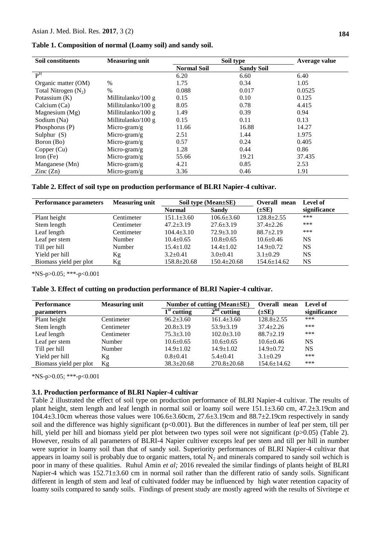| Soil constituents        | <b>Measuring unit</b> | Soil type          |                   | Average value |
|--------------------------|-----------------------|--------------------|-------------------|---------------|
|                          |                       | <b>Normal Soil</b> | <b>Sandy Soil</b> |               |
| P <sup>H</sup>           |                       | 6.20               | 6.60              | 6.40          |
| Organic matter (OM)      | $\%$                  | 1.75               | 0.34              | 1.05          |
| Total Nitrogen $(N_2)$   | $\%$                  | 0.088              | 0.017             | 0.0525        |
| Potassium $(K)$          | Millitulanko/100 g    | 0.15               | 0.10              | 0.125         |
| Calcium (Ca)             | Millitulanko/100 g    | 8.05               | 0.78              | 4.415         |
| Magnesium $(Mg)$         | Millitulanko/100 g    | 1.49               | 0.39              | 0.94          |
| Sodium (Na)              | Millitulanko/100 g    | 0.15               | 0.11              | 0.13          |
| Phosphorus (P)           | Micro-gram/g          | 11.66              | 16.88             | 14.27         |
| Sulphur $(S)$            | Micro-gram/g          | 2.51               | 1.44              | 1.975         |
| Boron (Bo)               | Micro-gram/g          | 0.57               | 0.24              | 0.405         |
| Copper (Cu)              | Micro-gram/g          | 1.28               | 0.44              | 0.86          |
| Iron $(Fe)$              | Micro-gram/g          | 55.66              | 19.21             | 37.435        |
| Manganese (Mn)           | Micro-gram/g          | 4.21               | 0.85              | 2.53          |
| $\text{Zinc}(\text{Zn})$ | Micro-gram/g          | 3.36               | 0.46              | 1.91          |

**Table 2. Effect of soil type on production performance of BLRI Napier-4 cultivar.** 

| <b>Performance parameters</b> | <b>Measuring unit</b> | Soil type (Mean±SE) |                   | Overall mean      | Level of     |
|-------------------------------|-----------------------|---------------------|-------------------|-------------------|--------------|
|                               |                       | <b>Normal</b>       | Sandy             | $(\pm SE)$        | significance |
| Plant height                  | Centimeter            | $151.1 \pm 3.60$    | $106.6 \pm 3.60$  | $128.8 \pm 2.55$  | ***          |
| Stem length                   | Centimeter            | $47.2 + 3.19$       | $27.6 \pm 3.19$   | $37.4 \pm 2.26$   | ***          |
| Leaf length                   | Centimeter            | $104.4 \pm 3.10$    | $72.9 \pm 3.10$   | $88.7+2.19$       | ***          |
| Leaf per stem                 | Number                | $10.4 \pm 0.65$     | $10.8 \pm 0.65$   | $10.6 \pm 0.46$   | <b>NS</b>    |
| Till per hill                 | Number                | $15.4 \pm 1.02$     | $14.4 + 1.02$     | $14.9 \pm 0.72$   | <b>NS</b>    |
| Yield per hill                | Кg                    | $3.2 \pm 0.41$      | $3.0 \pm 0.41$    | $3.1 \pm 0.29$    | <b>NS</b>    |
| Biomass yield per plot        | Κg                    | $158.8 \pm 20.68$   | $150.4 \pm 20.68$ | $154.6 \pm 14.62$ | <b>NS</b>    |

\*NS-p>0.05; \*\*\*-p<0.001

### **Table 3. Effect of cutting on production performance of BLRI Napier-4 cultivar.**

| <b>Performance</b>     | <b>Measuring unit</b> | Number of cutting $(Mean \pm SE)$ |                   | <b>Overall</b><br>mean | Level of     |
|------------------------|-----------------------|-----------------------------------|-------------------|------------------------|--------------|
| <i>parameters</i>      |                       | $1st$ cutting                     | $2nd$ cutting     | $(\pm SE)$             | significance |
| Plant height           | Centimeter            | $96.2 \pm 3.60$                   | $161.4 \pm 3.60$  | $128.8 \pm 2.55$       | ***          |
| Stem length            | Centimeter            | $20.8 \pm 3.19$                   | $53.9 \pm 3.19$   | $37.4 \pm 2.26$        | ***          |
| Leaf length            | Centimeter            | $75.3 \pm 3.10$                   | $102.0 \pm 3.10$  | $88.7+2.19$            | ***          |
| Leaf per stem          | Number                | $10.6 \pm 0.65$                   | $10.6 \pm 0.65$   | $10.6 \pm 0.46$        | <b>NS</b>    |
| Till per hill          | Number                | $14.9 \pm 1.02$                   | $14.9 \pm 1.02$   | $14.9 + 0.72$          | <b>NS</b>    |
| Yield per hill         | <b>Kg</b>             | $0.8 \pm 0.41$                    | $5.4+0.41$        | $3.1 \pm 0.29$         | ***          |
| Biomass yield per plot | Kg                    | $38.3 \pm 20.68$                  | $270.8 \pm 20.68$ | $154.6 \pm 14.62$      | ***          |

\*NS-p>0.05; \*\*\*-p<0.001

#### **3.1. Production performance of BLRI Napier-4 cultivar**

Table 2 illustrated the effect of soil type on production performance of BLRI Napier-4 cultivar. The results of plant height, stem length and leaf length in normal soil or loamy soil were 151.1±3.60 cm, 47.2±3.19cm and 104.4±3.10cm whereas those values were 106.6±3.60cm, 27.6±3.19cm and 88.7±2.19cm respectively in sandy soil and the difference was highly significant (p<0.001). But the differences in number of leaf per stem, till per hill, yield per hill and biomass yield per plot between two types soil were not significant (p>0.05) (Table 2). However, results of all parameters of BLRI-4 Napier cultiver excepts leaf per stem and till per hill in number were suprior in loamy soil than that of sandy soil. Superiority performances of BLRI Napier-4 cultivar that appears in loamy soil is probably due to organic matters, total  $N_2$  and minerals compared to sandy soil wchich is poor in many of these qualities. Ruhul Amin *et al;* 2016 revealed the similar findings of plants height of BLRI Napier-4 which was 152.71±3.60 cm in normal soil rather than the different ratio of sandy soils. Significant different in length of stem and leaf of cultivated fodder may be influenced by high water retention capacity of loamy soils compared to sandy soils. Findings of present study are mostly agreed with the results of Sivritepe *et*